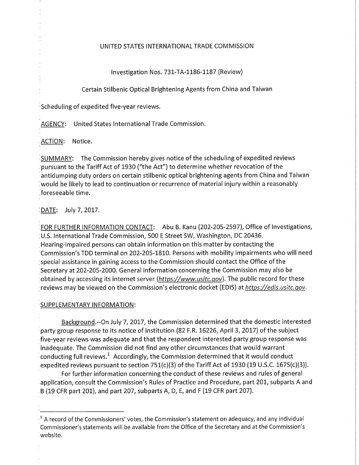## UNITED STATES INTERNATIONAL TRADE COMMISSION

Investigation Nos. 731-TA-1186-1187 (Review)

Certain Stilbenic Optical Brightening Agents from China and Taiwan

Scheduling of expedited five-year reviews.

AGENCY: United States International Trade Commission.

ACTION: Notice.

SUMMARY: The Commission hereby gives notice of the scheduling of expedited reviews pursuant to the Tariff Act of 1930 ("the Act") to determine whether revocation of the antidumping duty orders on certain stilbenic optical brightening agents from China and Taiwan would be likely to lead to continuation or recurrence of material injury within a reasonably foreseeable time.

DATE: July 7, 2017.

FOR FURTHER INFORMATION CONTACT: Abu B. Kanu (202-205-2597), Office of Investigations, U.S. International Trade Commission, 500 E Street SW, Washington, DC 20436. Hearing-impaired persons can obtain information on this matter by contacting the Commission's TDD terminal on 202-205-1810. Persons with mobility impairments who will need special assistance in gaining access to the Commission should contact the Office of the Secretary at 202-205-2000. General information concerning the Commission may also be obtained by accessing its internet server (https://www.usitc.gov). The public record for these reviews may be viewed on the Commission's electronic docket (EDIS) at https://edis.usitc.gov.

## SUPPLEMENTARY INFORMATION:

Background.--On July 7, 2017, the Commission determined that the domestic interested party group response to its notice of institution (82 F.R. 16226, April 3, 2017) ofthe subject five-year reviews was adequate and that the respondent interested party group response was inadequate. The Commission did not find any other circumstances that would warrant conducting full reviews.' Accordingly, the Commission determined that it would conduct expedited reviews pursuant to section  $751(c)(3)$  of the Tariff Act of 1930 (19 U.S.C. 1675(c)(3)).

For further information concerning the conduct of these reviews and rules of general application, consult the Commission's Rules of Practice and Procedure, part 201, subparts A and B (19 CFR part 201), and part 207, subparts A, D, E, and F (19 CFR part 207).

 $^{\rm ^1}$  A record of the Commissioners' votes, the Commission's statement on adequacy, and any individual Commissioner's statements will be available from the Office of the Secretary and at the Commission's website.